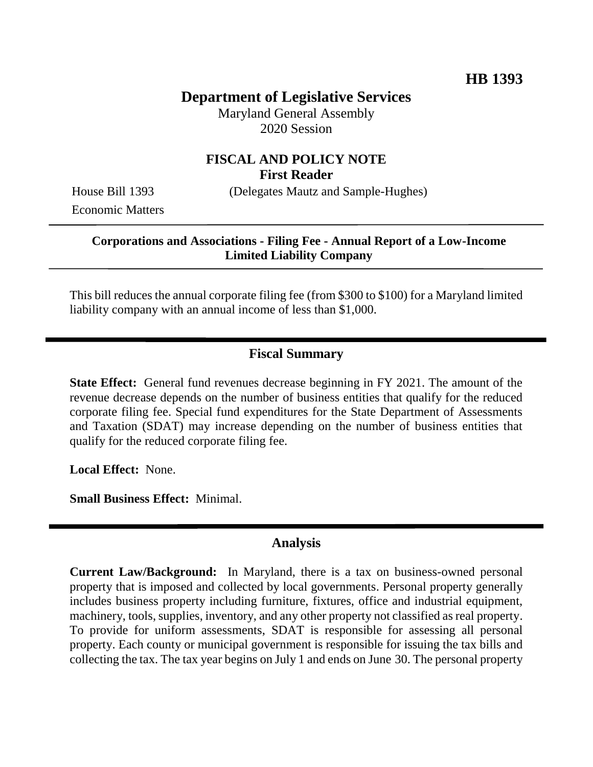# **Department of Legislative Services**

Maryland General Assembly 2020 Session

### **FISCAL AND POLICY NOTE First Reader**

Economic Matters

House Bill 1393 (Delegates Mautz and Sample-Hughes)

#### **Corporations and Associations - Filing Fee - Annual Report of a Low-Income Limited Liability Company**

This bill reduces the annual corporate filing fee (from \$300 to \$100) for a Maryland limited liability company with an annual income of less than \$1,000.

### **Fiscal Summary**

**State Effect:** General fund revenues decrease beginning in FY 2021. The amount of the revenue decrease depends on the number of business entities that qualify for the reduced corporate filing fee. Special fund expenditures for the State Department of Assessments and Taxation (SDAT) may increase depending on the number of business entities that qualify for the reduced corporate filing fee.

**Local Effect:** None.

**Small Business Effect:** Minimal.

#### **Analysis**

**Current Law/Background:** In Maryland, there is a tax on business-owned personal property that is imposed and collected by local governments. Personal property generally includes business property including furniture, fixtures, office and industrial equipment, machinery, tools, supplies, inventory, and any other property not classified as real property. To provide for uniform assessments, SDAT is responsible for assessing all personal property. Each county or municipal government is responsible for issuing the tax bills and collecting the tax. The tax year begins on July 1 and ends on June 30. The personal property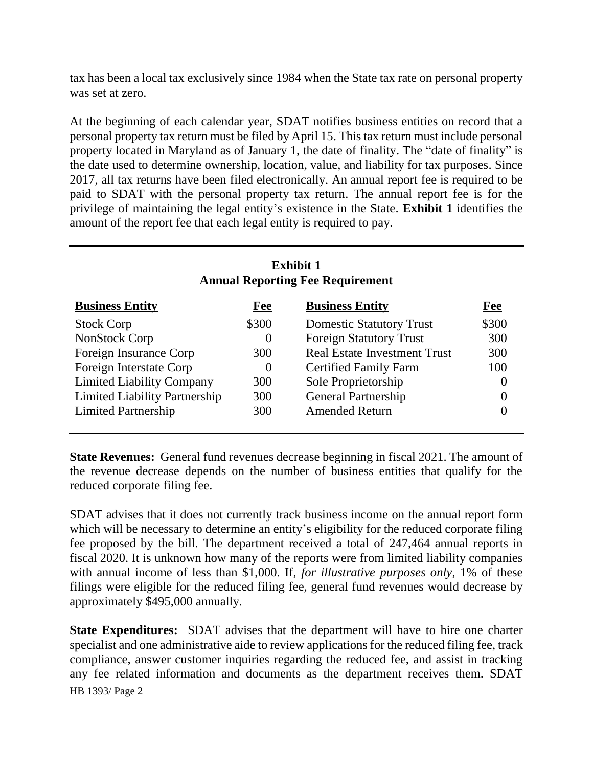tax has been a local tax exclusively since 1984 when the State tax rate on personal property was set at zero.

At the beginning of each calendar year, SDAT notifies business entities on record that a personal property tax return must be filed by April 15. This tax return must include personal property located in Maryland as of January 1, the date of finality. The "date of finality" is the date used to determine ownership, location, value, and liability for tax purposes. Since 2017, all tax returns have been filed electronically. An annual report fee is required to be paid to SDAT with the personal property tax return. The annual report fee is for the privilege of maintaining the legal entity's existence in the State. **Exhibit 1** identifies the amount of the report fee that each legal entity is required to pay.

| <b>Exhibit 1</b><br><b>Annual Reporting Fee Requirement</b> |            |                                     |            |
|-------------------------------------------------------------|------------|-------------------------------------|------------|
| <b>Business Entity</b>                                      | <u>Fee</u> | <b>Business Entity</b>              | <b>Fee</b> |
| <b>Stock Corp</b>                                           | \$300      | <b>Domestic Statutory Trust</b>     | \$300      |
| NonStock Corp                                               | $\theta$   | <b>Foreign Statutory Trust</b>      | 300        |
| Foreign Insurance Corp                                      | 300        | <b>Real Estate Investment Trust</b> | 300        |
| Foreign Interstate Corp                                     | $\theta$   | <b>Certified Family Farm</b>        | 100        |
| <b>Limited Liability Company</b>                            | 300        | Sole Proprietorship                 | $\theta$   |
| Limited Liability Partnership                               | 300        | <b>General Partnership</b>          |            |
| <b>Limited Partnership</b>                                  | 300        | <b>Amended Return</b>               |            |

**State Revenues:** General fund revenues decrease beginning in fiscal 2021. The amount of the revenue decrease depends on the number of business entities that qualify for the reduced corporate filing fee.

SDAT advises that it does not currently track business income on the annual report form which will be necessary to determine an entity's eligibility for the reduced corporate filing fee proposed by the bill. The department received a total of 247,464 annual reports in fiscal 2020. It is unknown how many of the reports were from limited liability companies with annual income of less than \$1,000. If, *for illustrative purposes only*, 1% of these filings were eligible for the reduced filing fee, general fund revenues would decrease by approximately \$495,000 annually.

HB 1393/ Page 2 **State Expenditures:** SDAT advises that the department will have to hire one charter specialist and one administrative aide to review applications for the reduced filing fee, track compliance, answer customer inquiries regarding the reduced fee, and assist in tracking any fee related information and documents as the department receives them. SDAT